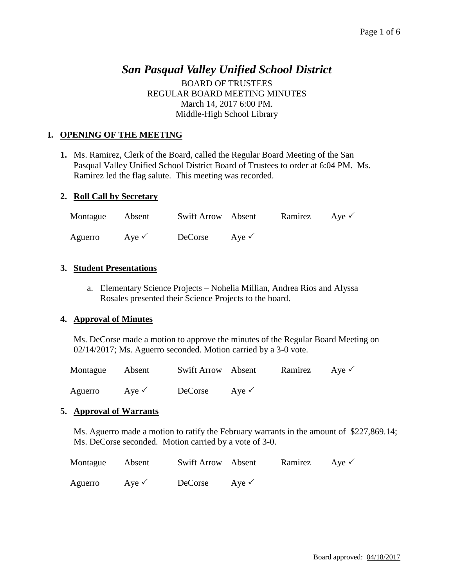# *San Pasqual Valley Unified School District*

BOARD OF TRUSTEES REGULAR BOARD MEETING MINUTES March 14, 2017 6:00 PM. Middle-High School Library

# **I. OPENING OF THE MEETING**

**1.** Ms. Ramirez, Clerk of the Board, called the Regular Board Meeting of the San Pasqual Valley Unified School District Board of Trustees to order at 6:04 PM. Ms. Ramirez led the flag salute. This meeting was recorded.

## **2. Roll Call by Secretary**

| Montague Absent |                  | Swift Arrow Absent |                  | Ramirez Aye $\checkmark$ |  |
|-----------------|------------------|--------------------|------------------|--------------------------|--|
| Aguerro         | Ave $\checkmark$ | DeCorse            | Aye $\checkmark$ |                          |  |

# **3. Student Presentations**

a. Elementary Science Projects – Nohelia Millian, Andrea Rios and Alyssa Rosales presented their Science Projects to the board.

#### **4. Approval of Minutes**

Ms. DeCorse made a motion to approve the minutes of the Regular Board Meeting on 02/14/2017; Ms. Aguerro seconded. Motion carried by a 3-0 vote.

| Montague | Absent           | Swift Arrow Absent |                  | Ramirez Aye $\checkmark$ |  |
|----------|------------------|--------------------|------------------|--------------------------|--|
| Aguerro  | Aye $\checkmark$ | DeCorse            | Aye $\checkmark$ |                          |  |

#### **5. Approval of Warrants**

Ms. Aguerro made a motion to ratify the February warrants in the amount of \$227,869.14; Ms. DeCorse seconded. Motion carried by a vote of 3-0.

| Montague | Absent           | Swift Arrow Absent |                  | Ramirez Aye $\checkmark$ |  |
|----------|------------------|--------------------|------------------|--------------------------|--|
| Aguerro  | Aye $\checkmark$ | DeCorse            | Aye $\checkmark$ |                          |  |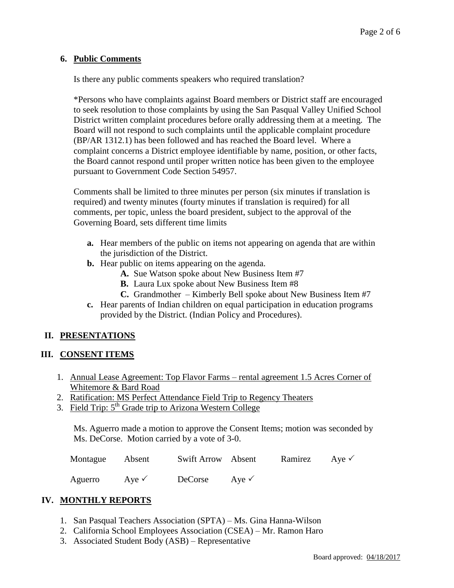#### **6. Public Comments**

Is there any public comments speakers who required translation?

\*Persons who have complaints against Board members or District staff are encouraged to seek resolution to those complaints by using the San Pasqual Valley Unified School District written complaint procedures before orally addressing them at a meeting. The Board will not respond to such complaints until the applicable complaint procedure (BP/AR 1312.1) has been followed and has reached the Board level. Where a complaint concerns a District employee identifiable by name, position, or other facts, the Board cannot respond until proper written notice has been given to the employee pursuant to Government Code Section 54957.

Comments shall be limited to three minutes per person (six minutes if translation is required) and twenty minutes (fourty minutes if translation is required) for all comments, per topic, unless the board president, subject to the approval of the Governing Board, sets different time limits

- **a.** Hear members of the public on items not appearing on agenda that are within the jurisdiction of the District.
- **b.** Hear public on items appearing on the agenda.
	- **A.** Sue Watson spoke about New Business Item #7
	- **B.** Laura Lux spoke about New Business Item #8
	- **C.** Grandmother Kimberly Bell spoke about New Business Item #7
- **c.** Hear parents of Indian children on equal participation in education programs provided by the District. (Indian Policy and Procedures).

# **II. PRESENTATIONS**

#### **III. CONSENT ITEMS**

- 1. Annual Lease Agreement: Top Flavor Farms rental agreement 1.5 Acres Corner of Whitemore & Bard Road
- 2. Ratification: MS Perfect Attendance Field Trip to Regency Theaters
- 3. Field Trip: 5<sup>th</sup> Grade trip to Arizona Western College

Ms. Aguerro made a motion to approve the Consent Items; motion was seconded by Ms. DeCorse. Motion carried by a vote of 3-0.

| Montague | Absent | Swift Arrow Absent |  | Ramirez | Aye $\checkmark$ |
|----------|--------|--------------------|--|---------|------------------|
|----------|--------|--------------------|--|---------|------------------|

Aguerro Aye  $\checkmark$  DeCorse Aye  $\checkmark$ 

# **IV. MONTHLY REPORTS**

- 1. San Pasqual Teachers Association (SPTA) Ms. Gina Hanna-Wilson
- 2. California School Employees Association (CSEA) Mr. Ramon Haro
- 3. Associated Student Body (ASB) Representative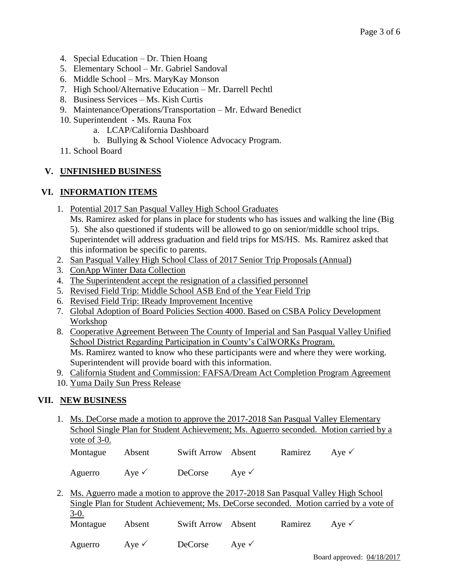- 4. Special Education Dr. Thien Hoang
- 5. Elementary School Mr. Gabriel Sandoval
- 6. Middle School Mrs. MaryKay Monson
- 7. High School/Alternative Education Mr. Darrell Pechtl
- 8. Business Services Ms. Kish Curtis
- 9. Maintenance/Operations/Transportation Mr. Edward Benedict
- 10. Superintendent Ms. Rauna Fox
	- a. LCAP/California Dashboard
	- b. Bullying & School Violence Advocacy Program.
- 11. School Board

# **V. UNFINISHED BUSINESS**

## **VI. INFORMATION ITEMS**

1. Potential 2017 San Pasqual Valley High School Graduates

Ms. Ramirez asked for plans in place for students who has issues and walking the line (Big 5). She also questioned if students will be allowed to go on senior/middle school trips. Superintendet will address graduation and field trips for MS/HS. Ms. Ramirez asked that this information be specific to parents.

- 2. San Pasqual Valley High School Class of 2017 Senior Trip Proposals (Annual)
- 3. ConApp Winter Data Collection
- 4. The Superintendent accept the resignation of a classified personnel
- 5. Revised Field Trip: Middle School ASB End of the Year Field Trip
- 6. Revised Field Trip: IReady Improvement Incentive
- 7. Global Adoption of Board Policies Section 4000. Based on CSBA Policy Development Workshop
- 8. Cooperative Agreement Between The County of Imperial and San Pasqual Valley Unified School District Regarding Participation in County's CalWORKs Program. Ms. Ramirez wanted to know who these participants were and where they were working. Superintendent will provide board with this information.
- 9. California Student and Commission: FAFSA/Dream Act Completion Program Agreement
- 10. Yuma Daily Sun Press Release

# **VII. NEW BUSINESS**

1. Ms. DeCorse made a motion to approve the 2017-2018 San Pasqual Valley Elementary School Single Plan for Student Achievement; Ms. Aguerro seconded. Motion carried by a vote of 3-0. Montague Absent Swift Arrow Absent Ramirez Aye

Aguerro Aye  $\sqrt{\phantom{a}}$  DeCorse Aye  $\sqrt{\phantom{a}}$ 

2. Ms. Aguerro made a motion to approve the 2017-2018 San Pasqual Valley High School Single Plan for Student Achievement; Ms. DeCorse seconded. Motion carried by a vote of 3-0. Montague Absent Swift Arrow Absent Ramirez Aye  $\checkmark$ 

Aguerro Aye  $\sqrt{\phantom{a}}$  DeCorse Aye  $\sqrt{\phantom{a}}$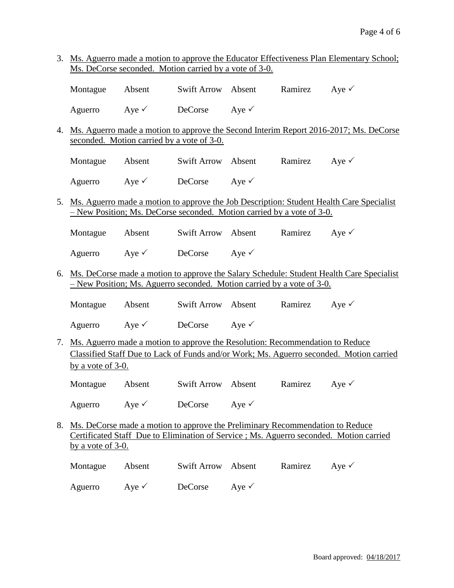3. Ms. Aguerro made a motion to approve the Educator Effectiveness Plan Elementary School; Ms. DeCorse seconded. Motion carried by a vote of 3-0.

| Montague Absent |                  | Swift Arrow Absent |                  | Ramirez Aye $\checkmark$ |  |
|-----------------|------------------|--------------------|------------------|--------------------------|--|
| Aguerro         | Aye $\checkmark$ | DeCorse            | Ave $\checkmark$ |                          |  |

- 4. Ms. Aguerro made a motion to approve the Second Interim Report 2016-2017; Ms. DeCorse seconded. Motion carried by a vote of 3-0.
	- Montague Absent Swift Arrow Absent Ramirez Aye Aguerro  $Aye \checkmark$  DeCorse  $Aye \checkmark$
- 5. Ms. Aguerro made a motion to approve the Job Description: Student Health Care Specialist – New Position; Ms. DeCorse seconded. Motion carried by a vote of 3-0.
	- Montague Absent Swift Arrow Absent Ramirez Aye <del>V</del>
	- Aguerro Aye  $\checkmark$  DeCorse Aye  $\checkmark$
- 6. Ms. DeCorse made a motion to approve the Salary Schedule: Student Health Care Specialist – New Position; Ms. Aguerro seconded. Motion carried by a vote of 3-0.
	- Montague Absent Swift Arrow Absent Ramirez Aye  $\checkmark$
	- Aguerro  $Aye \checkmark$  DeCorse  $Aye \checkmark$
- 7. Ms. Aguerro made a motion to approve the Resolution: Recommendation to Reduce Classified Staff Due to Lack of Funds and/or Work; Ms. Aguerro seconded. Motion carried by a vote of 3-0.
	- Montague Absent Swift Arrow Absent Ramirez Aye

Aguerro Aye  $\checkmark$  DeCorse Aye  $\checkmark$ 

8. Ms. DeCorse made a motion to approve the Preliminary Recommendation to Reduce Certificated Staff Due to Elimination of Service ; Ms. Aguerro seconded. Motion carried by a vote of 3-0.

| Montague | Absent           | Swift Arrow Absent |                  | Ramirez Aye $\checkmark$ |  |
|----------|------------------|--------------------|------------------|--------------------------|--|
| Aguerro  | Ave $\checkmark$ | DeCorse            | Ave $\checkmark$ |                          |  |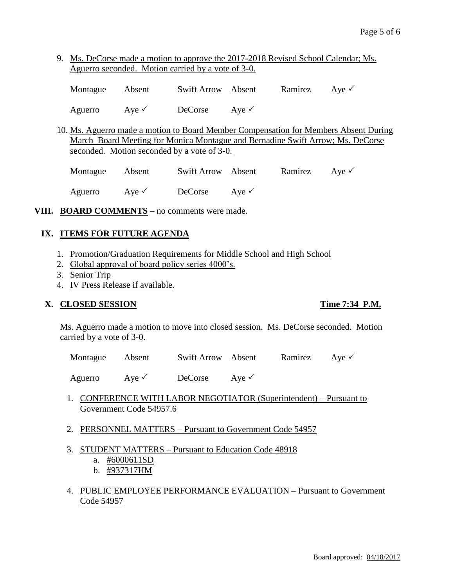9. Ms. DeCorse made a motion to approve the 2017-2018 Revised School Calendar; Ms. Aguerro seconded. Motion carried by a vote of 3-0.

| Montague Absent |                  | Swift Arrow Absent       | Ramirez Aye $\checkmark$ |  |
|-----------------|------------------|--------------------------|--------------------------|--|
| Aguerro         | Aye $\checkmark$ | DeCorse Aye $\checkmark$ |                          |  |

10. Ms. Aguerro made a motion to Board Member Compensation for Members Absent During March Board Meeting for Monica Montague and Bernadine Swift Arrow; Ms. DeCorse seconded. Motion seconded by a vote of 3-0.

| Montague Absent |                  | Swift Arrow Absent |                  | Ramirez Aye $\checkmark$ |  |
|-----------------|------------------|--------------------|------------------|--------------------------|--|
| Aguerro         | Aye $\checkmark$ | DeCorse            | Ave $\checkmark$ |                          |  |

**VIII. BOARD COMMENTS** – no comments were made.

## **IX. ITEMS FOR FUTURE AGENDA**

- 1. Promotion/Graduation Requirements for Middle School and High School
- 2. Global approval of board policy series 4000's.
- 3. Senior Trip
- 4. IV Press Release if available.

#### **X. CLOSED SESSION Time 7:34 P.M.**

Ms. Aguerro made a motion to move into closed session. Ms. DeCorse seconded. Motion carried by a vote of 3-0.

Montague Absent Swift Arrow Absent Ramirez Aye  $\checkmark$ 

Aguerro Aye  $\sqrt{\phantom{a}}$  DeCorse Aye  $\sqrt{\phantom{a}}$ 

- 1. CONFERENCE WITH LABOR NEGOTIATOR (Superintendent) Pursuant to Government Code 54957.6
- 2. PERSONNEL MATTERS Pursuant to Government Code 54957
- 3. STUDENT MATTERS Pursuant to Education Code 48918
	- a. #6000611SD
	- b. #937317HM
- 4. PUBLIC EMPLOYEE PERFORMANCE EVALUATION Pursuant to Government Code 54957